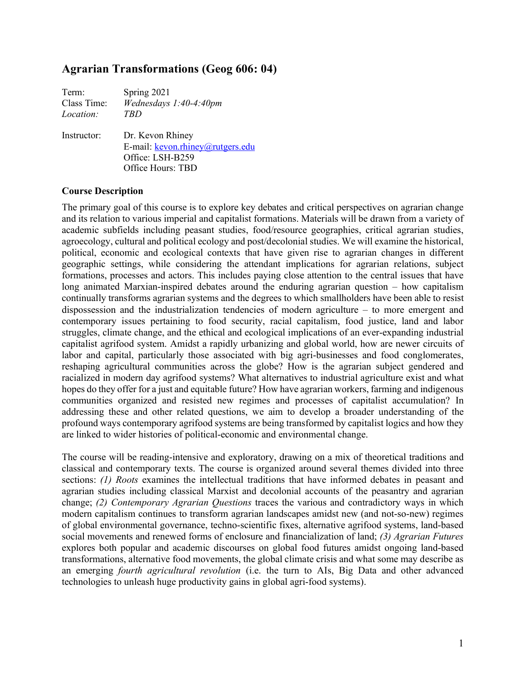# **Agrarian Transformations (Geog 606: 04)**

| Term:       | Spring 2021                                                                                   |
|-------------|-----------------------------------------------------------------------------------------------|
| Class Time: | Wednesdays 1:40-4:40pm                                                                        |
| Location:   | TRD                                                                                           |
| Instructor: | Dr. Kevon Rhiney<br>E-mail: kevon.rhiney@rutgers.edu<br>Office: LSH-B259<br>Office Hours: TBD |

## **Course Description**

The primary goal of this course is to explore key debates and critical perspectives on agrarian change and its relation to various imperial and capitalist formations. Materials will be drawn from a variety of academic subfields including peasant studies, food/resource geographies, critical agrarian studies, agroecology, cultural and political ecology and post/decolonial studies. We will examine the historical, political, economic and ecological contexts that have given rise to agrarian changes in different geographic settings, while considering the attendant implications for agrarian relations, subject formations, processes and actors. This includes paying close attention to the central issues that have long animated Marxian-inspired debates around the enduring agrarian question – how capitalism continually transforms agrarian systems and the degrees to which smallholders have been able to resist dispossession and the industrialization tendencies of modern agriculture – to more emergent and contemporary issues pertaining to food security, racial capitalism, food justice, land and labor struggles, climate change, and the ethical and ecological implications of an ever-expanding industrial capitalist agrifood system. Amidst a rapidly urbanizing and global world, how are newer circuits of labor and capital, particularly those associated with big agri-businesses and food conglomerates, reshaping agricultural communities across the globe? How is the agrarian subject gendered and racialized in modern day agrifood systems? What alternatives to industrial agriculture exist and what hopes do they offer for a just and equitable future? How have agrarian workers, farming and indigenous communities organized and resisted new regimes and processes of capitalist accumulation? In addressing these and other related questions, we aim to develop a broader understanding of the profound ways contemporary agrifood systems are being transformed by capitalist logics and how they are linked to wider histories of political-economic and environmental change.

The course will be reading-intensive and exploratory, drawing on a mix of theoretical traditions and classical and contemporary texts. The course is organized around several themes divided into three sections: *(1) Roots* examines the intellectual traditions that have informed debates in peasant and agrarian studies including classical Marxist and decolonial accounts of the peasantry and agrarian change; *(2) Contemporary Agrarian Questions* traces the various and contradictory ways in which modern capitalism continues to transform agrarian landscapes amidst new (and not-so-new) regimes of global environmental governance, techno-scientific fixes, alternative agrifood systems, land-based social movements and renewed forms of enclosure and financialization of land; *(3) Agrarian Futures* explores both popular and academic discourses on global food futures amidst ongoing land-based transformations, alternative food movements, the global climate crisis and what some may describe as an emerging *fourth agricultural revolution* (i.e. the turn to AIs, Big Data and other advanced technologies to unleash huge productivity gains in global agri-food systems).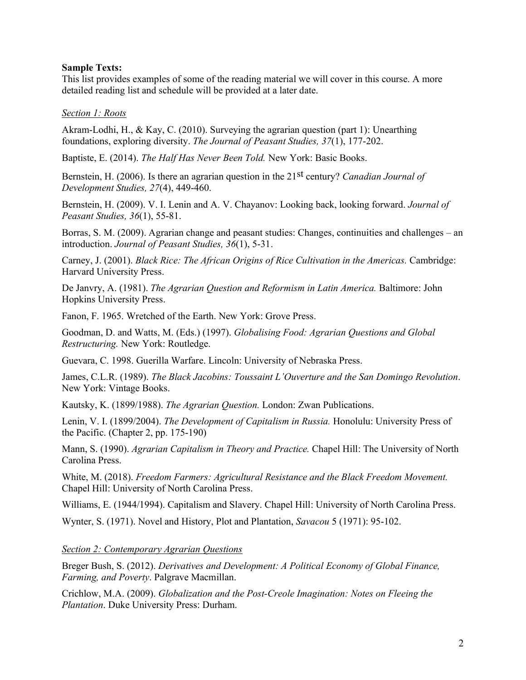## **Sample Texts:**

This list provides examples of some of the reading material we will cover in this course. A more detailed reading list and schedule will be provided at a later date.

#### *Section 1: Roots*

Akram-Lodhi, H., & Kay, C. (2010). Surveying the agrarian question (part 1): Unearthing foundations, exploring diversity. *The Journal of Peasant Studies, 37*(1), 177-202.

Baptiste, E. (2014). *The Half Has Never Been Told.* New York: Basic Books.

Bernstein, H. (2006). Is there an agrarian question in the 21st century? *Canadian Journal of Development Studies, 27*(4), 449-460.

Bernstein, H. (2009). V. I. Lenin and A. V. Chayanov: Looking back, looking forward. *Journal of Peasant Studies, 36*(1), 55-81.

Borras, S. M. (2009). Agrarian change and peasant studies: Changes, continuities and challenges – an introduction. *Journal of Peasant Studies, 36*(1), 5-31.

Carney, J. (2001). *Black Rice: The African Origins of Rice Cultivation in the Americas.* Cambridge: Harvard University Press.

De Janvry, A. (1981). *The Agrarian Question and Reformism in Latin America*. Baltimore: John Hopkins University Press.

Fanon, F. 1965. Wretched of the Earth. New York: Grove Press.

Goodman, D. and Watts, M. (Eds.) (1997). *Globalising Food: Agrarian Questions and Global Restructuring.* New York: Routledge.

Guevara, C. 1998. Guerilla Warfare. Lincoln: University of Nebraska Press.

James, C.L.R. (1989). *The Black Jacobins: Toussaint L'Ouverture and the San Domingo Revolution*. New York: Vintage Books.

Kautsky, K. (1899/1988). *The Agrarian Question.* London: Zwan Publications.

Lenin, V. I. (1899/2004). *The Development of Capitalism in Russia.* Honolulu: University Press of the Pacific. (Chapter 2, pp. 175-190)

Mann, S. (1990). *Agrarian Capitalism in Theory and Practice.* Chapel Hill: The University of North Carolina Press.

White, M. (2018). *Freedom Farmers: Agricultural Resistance and the Black Freedom Movement.*  Chapel Hill: University of North Carolina Press.

Williams, E. (1944/1994). Capitalism and Slavery. Chapel Hill: University of North Carolina Press.

Wynter, S. (1971). Novel and History, Plot and Plantation, *Savacou* 5 (1971): 95-102.

#### *Section 2: Contemporary Agrarian Questions*

Breger Bush, S. (2012). *Derivatives and Development: A Political Economy of Global Finance, Farming, and Poverty*. Palgrave Macmillan.

Crichlow, M.A. (2009). *Globalization and the Post-Creole Imagination: Notes on Fleeing the Plantation*. Duke University Press: Durham.